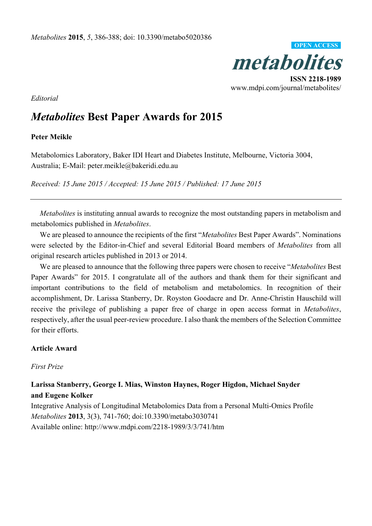

*Editorial*

# *Metabolites* **Best Paper Awards for 2015**

#### **Peter Meikle**

Metabolomics Laboratory, Baker IDI Heart and Diabetes Institute, Melbourne, Victoria 3004, Australia; E-Mail: peter.meikle@bakeridi.edu.au

*Received: 15 June 2015 / Accepted: 15 June 2015 / Published: 17 June 2015* 

*Metabolites* is instituting annual awards to recognize the most outstanding papers in metabolism and metabolomics published in *Metabolites*.

We are pleased to announce the recipients of the first "*Metabolites* Best Paper Awards". Nominations were selected by the Editor-in-Chief and several Editorial Board members of *Metabolites* from all original research articles published in 2013 or 2014.

We are pleased to announce that the following three papers were chosen to receive "*Metabolites* Best Paper Awards" for 2015. I congratulate all of the authors and thank them for their significant and important contributions to the field of metabolism and metabolomics. In recognition of their accomplishment, Dr. Larissa Stanberry, Dr. Royston Goodacre and Dr. Anne-Christin Hauschild will receive the privilege of publishing a paper free of charge in open access format in *Metabolites*, respectively, after the usual peer-review procedure. I also thank the members of the Selection Committee for their efforts.

#### **Article Award**

*First Prize* 

# **Larissa Stanberry, George I. Mias, Winston Haynes, Roger Higdon, Michael Snyder and Eugene Kolker**

Integrative Analysis of Longitudinal Metabolomics Data from a Personal Multi-Omics Profile *Metabolites* **2013**, 3(3), 741-760; doi:10.3390/metabo3030741 Available online: http://www.mdpi.com/2218-1989/3/3/741/htm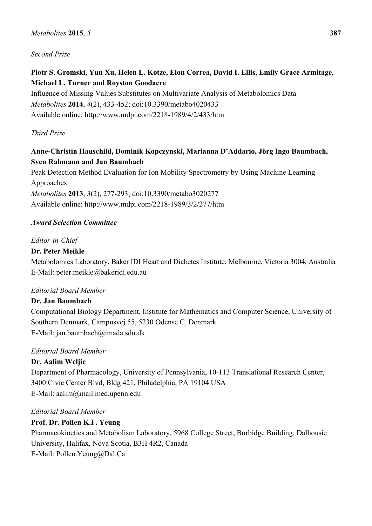## *Second Prize*

# **Piotr S. Gromski, Yun Xu, Helen L. Kotze, Elon Correa, David I. Ellis, Emily Grace Armitage, Michael L. Turner and Royston Goodacre**

Influence of Missing Values Substitutes on Multivariate Analysis of Metabolomics Data *Metabolites* **2014**, *4*(2), 433-452; doi:10.3390/metabo4020433 Available online: http://www.mdpi.com/2218-1989/4/2/433/htm

# *Third Prize*

# **Anne-Christin Hauschild, Dominik Kopczynski, Marianna D'Addario, Jörg Ingo Baumbach, Sven Rahmann and Jan Baumbach**

Peak Detection Method Evaluation for Ion Mobility Spectrometry by Using Machine Learning Approaches

*Metabolites* **2013**, *3*(2), 277-293; doi:10.3390/metabo3020277 Available online: http://www.mdpi.com/2218-1989/3/2/277/htm

## *Award Selection Committee*

## *Editor-in-Chief*

## **Dr. Peter Meikle**

Metabolomics Laboratory, Baker IDI Heart and Diabetes Institute, Melbourne, Victoria 3004, Australia E-Mail: peter.meikle@bakeridi.edu.au

#### *Editorial Board Member*

# **Dr. Jan Baumbach**

Computational Biology Department, Institute for Mathematics and Computer Science, University of Southern Denmark, Campusvej 55, 5230 Odense C, Denmark E-Mail: jan.baumbach@imada.sdu.dk

# *Editorial Board Member*

# **Dr. Aalim Weljie**

Department of Pharmacology, University of Pennsylvania, 10-113 Translational Research Center, 3400 Civic Center Blvd, Bldg 421, Philadelphia, PA 19104 USA E-Mail: aalim@mail.med.upenn.edu

#### *Editorial Board Member*

# **Prof. Dr. Pollen K.F. Yeung**

Pharmacokinetics and Metabolism Laboratory, 5968 College Street, Burbidge Building, Dalhousie University, Halifax, Nova Scotia, B3H 4R2, Canada E-Mail: Pollen.Yeung@Dal.Ca